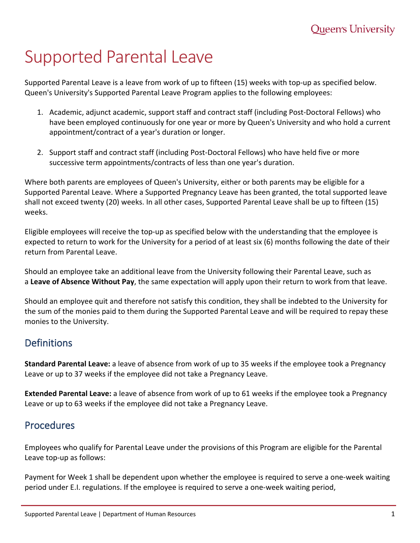# Supported Parental Leave

Supported Parental Leave is a leave from work of up to fifteen (15) weeks with top-up as specified below. Queen's University's Supported Parental Leave Program applies to the following employees:

- 1. Academic, adjunct academic, support staff and contract staff (including Post-Doctoral Fellows) who have been employed continuously for one year or more by Queen's University and who hold a current appointment/contract of a year's duration or longer.
- 2. Support staff and contract staff (including Post-Doctoral Fellows) who have held five or more successive term appointments/contracts of less than one year's duration.

Where both parents are employees of Queen's University, either or both parents may be eligible for a Supported Parental Leave. Where a Supported Pregnancy Leave has been granted, the total supported leave shall not exceed twenty (20) weeks. In all other cases, Supported Parental Leave shall be up to fifteen (15) weeks.

Eligible employees will receive the top-up as specified below with the understanding that the employee is expected to return to work for the University for a period of at least six (6) months following the date of their return from Parental Leave.

Should an employee take an additional leave from the University following their Parental Leave, such as a **Leave of Absence Without Pay**, the same expectation will apply upon their return to work from that leave.

Should an employee quit and therefore not satisfy this condition, they shall be indebted to the University for the sum of the monies paid to them during the Supported Parental Leave and will be required to repay these monies to the University.

## **Definitions**

**Standard Parental Leave:** a leave of absence from work of up to 35 weeks if the employee took a Pregnancy Leave or up to 37 weeks if the employee did not take a Pregnancy Leave.

**Extended Parental Leave:** a leave of absence from work of up to 61 weeks if the employee took a Pregnancy Leave or up to 63 weeks if the employee did not take a Pregnancy Leave.

## Procedures

Employees who qualify for Parental Leave under the provisions of this Program are eligible for the Parental Leave top-up as follows:

Payment for Week 1 shall be dependent upon whether the employee is required to serve a one-week waiting period under E.I. regulations. If the employee is required to serve a one-week waiting period,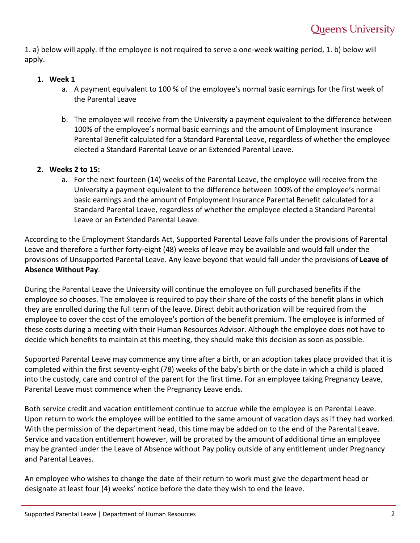1. a) below will apply. If the employee is not required to serve a one-week waiting period, 1. b) below will apply.

#### **1. Week 1**

- a. A payment equivalent to 100 % of the employee's normal basic earnings for the first week of the Parental Leave
- b. The employee will receive from the University a payment equivalent to the difference between 100% of the employee's normal basic earnings and the amount of Employment Insurance Parental Benefit calculated for a Standard Parental Leave, regardless of whether the employee elected a Standard Parental Leave or an Extended Parental Leave.

#### **2. Weeks 2 to 15:**

a. For the next fourteen (14) weeks of the Parental Leave, the employee will receive from the University a payment equivalent to the difference between 100% of the employee's normal basic earnings and the amount of Employment Insurance Parental Benefit calculated for a Standard Parental Leave, regardless of whether the employee elected a Standard Parental Leave or an Extended Parental Leave.

According to the Employment Standards Act, Supported Parental Leave falls under the provisions of Parental Leave and therefore a further forty-eight (48) weeks of leave may be available and would fall under the provisions of Unsupported Parental Leave. Any leave beyond that would fall under the provisions of **Leave of Absence Without Pay**.

During the Parental Leave the University will continue the employee on full purchased benefits if the employee so chooses. The employee is required to pay their share of the costs of the benefit plans in which they are enrolled during the full term of the leave. Direct debit authorization will be required from the employee to cover the cost of the employee's portion of the benefit premium. The employee is informed of these costs during a meeting with their Human Resources Advisor. Although the employee does not have to decide which benefits to maintain at this meeting, they should make this decision as soon as possible.

Supported Parental Leave may commence any time after a birth, or an adoption takes place provided that it is completed within the first seventy-eight (78) weeks of the baby's birth or the date in which a child is placed into the custody, care and control of the parent for the first time. For an employee taking Pregnancy Leave, Parental Leave must commence when the Pregnancy Leave ends.

Both service credit and vacation entitlement continue to accrue while the employee is on Parental Leave. Upon return to work the employee will be entitled to the same amount of vacation days as if they had worked. With the permission of the department head, this time may be added on to the end of the Parental Leave. Service and vacation entitlement however, will be prorated by the amount of additional time an employee may be granted under the Leave of Absence without Pay policy outside of any entitlement under Pregnancy and Parental Leaves.

An employee who wishes to change the date of their return to work must give the department head or designate at least four (4) weeks' notice before the date they wish to end the leave.